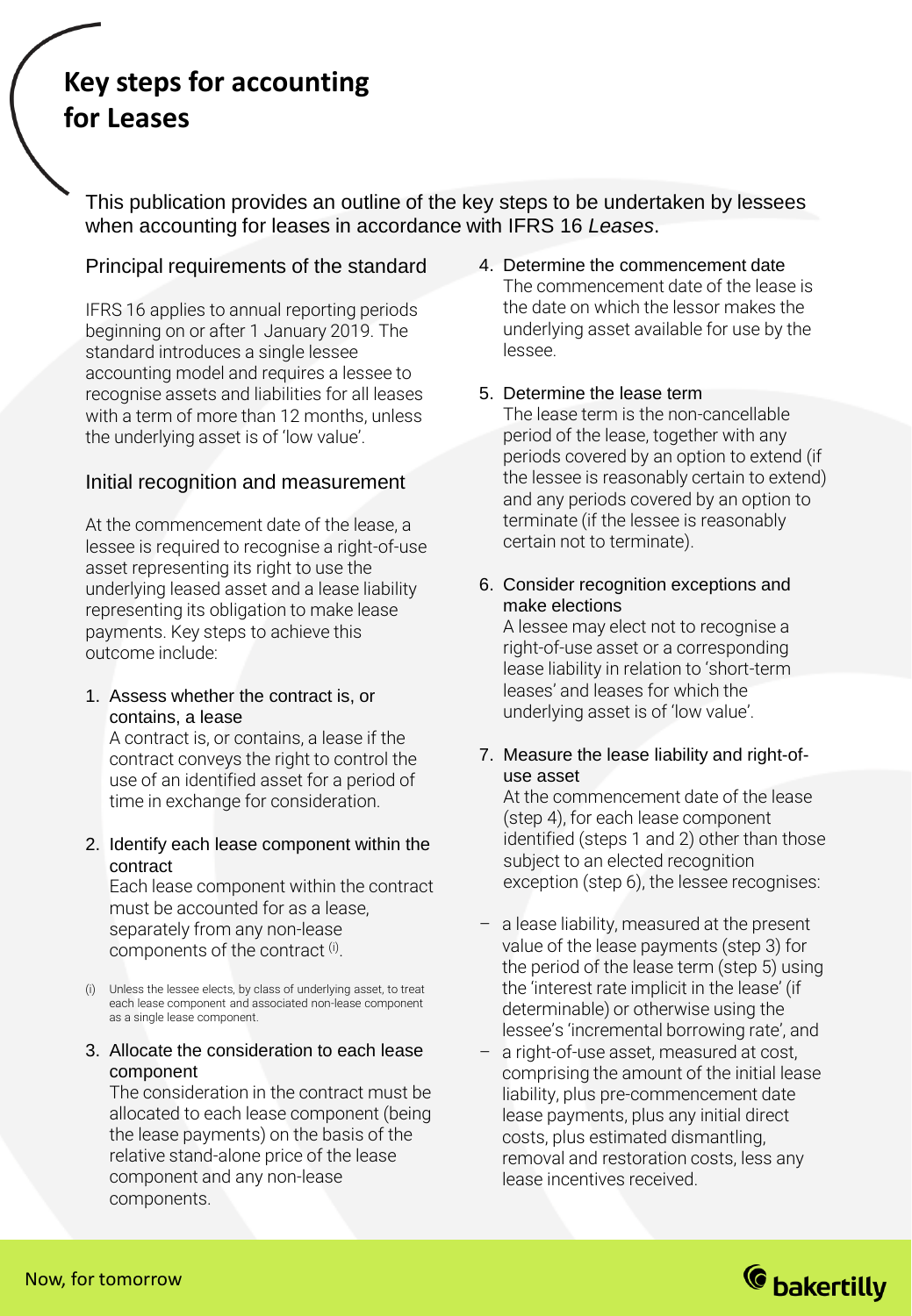# **Key steps for accounting for Leases**

This publication provides an outline of the key steps to be undertaken by lessees when accounting for leases in accordance with IFRS 16 *Leases*.

# Principal requirements of the standard

IFRS 16 applies to annual reporting periods beginning on or after 1 January 2019. The standard introduces a single lessee accounting model and requires a lessee to recognise assets and liabilities for all leases with a term of more than 12 months, unless the underlying asset is of 'low value'.

# Initial recognition and measurement

At the commencement date of the lease, a lessee is required to recognise a right-of-use asset representing its right to use the underlying leased asset and a lease liability representing its obligation to make lease payments. Key steps to achieve this outcome include:

1. Assess whether the contract is, or contains, a lease

A contract is, or contains, a lease if the contract conveys the right to control the use of an identified asset for a period of time in exchange for consideration.

2. Identify each lease component within the contract

Each lease component within the contract must be accounted for as a lease, separately from any non-lease components of the contract <sup>(i)</sup>.

(i) Unless the lessee elects, by class of underlying asset, to treat each lease component and associated non-lease component as a single lease component.

#### 3. Allocate the consideration to each lease component

The consideration in the contract must be allocated to each lease component (being the lease payments) on the basis of the relative stand-alone price of the lease component and any non-lease components.

- 4. Determine the commencement date The commencement date of the lease is the date on which the lessor makes the underlying asset available for use by the lessee.
- 5. Determine the lease term

The lease term is the non-cancellable period of the lease, together with any periods covered by an option to extend (if the lessee is reasonably certain to extend) and any periods covered by an option to terminate (if the lessee is reasonably certain not to terminate).

6. Consider recognition exceptions and make elections

A lessee may elect not to recognise a right-of-use asset or a corresponding lease liability in relation to 'short-term leases' and leases for which the underlying asset is of 'low value'.

#### 7. Measure the lease liability and right-ofuse asset

At the commencement date of the lease (step 4), for each lease component identified (steps 1 and 2) other than those subject to an elected recognition exception (step 6), the lessee recognises:

- a lease liability, measured at the present value of the lease payments (step 3) for the period of the lease term (step 5) using the 'interest rate implicit in the lease' (if determinable) or otherwise using the lessee's 'incremental borrowing rate', and
- a right-of-use asset, measured at cost, comprising the amount of the initial lease liability, plus pre-commencement date lease payments, plus any initial direct costs, plus estimated dismantling, removal and restoration costs, less any lease incentives received.